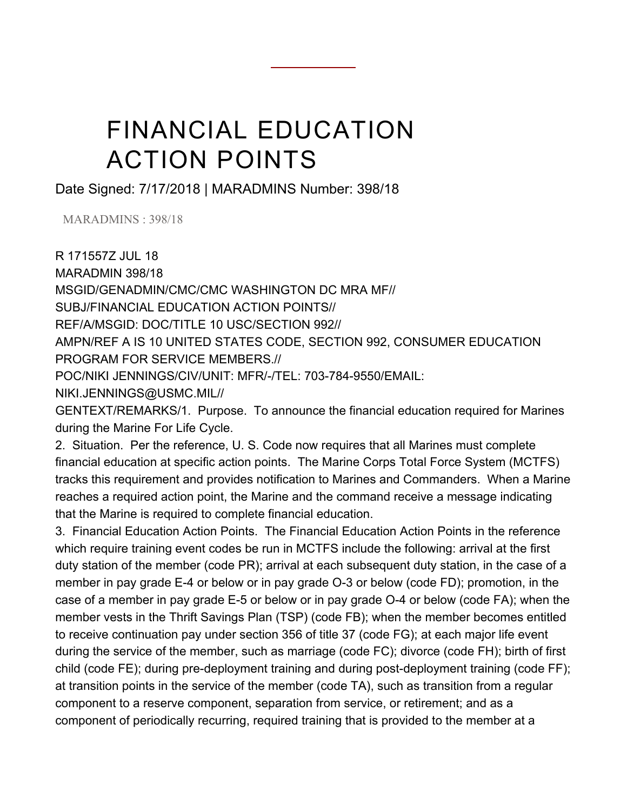## FINANCIAL EDUCATION ACTION POINTS

Date Signed: 7/17/2018 | MARADMINS Number: 398/18

MARADMINS : 398/18

R 171557Z JUL 18 MARADMIN 398/18 MSGID/GENADMIN/CMC/CMC WASHINGTON DC MRA MF// SUBJ/FINANCIAL EDUCATION ACTION POINTS// REF/A/MSGID: DOC/TITLE 10 USC/SECTION 992// AMPN/REF A IS 10 UNITED STATES CODE, SECTION 992, CONSUMER EDUCATION PROGRAM FOR SERVICE MEMBERS.// POC/NIKI JENNINGS/CIV/UNIT: MFR/-/TEL: 703-784-9550/EMAIL: NIKI.JENNINGS@USMC.MIL//

GENTEXT/REMARKS/1. Purpose. To announce the financial education required for Marines during the Marine For Life Cycle.

2. Situation. Per the reference, U. S. Code now requires that all Marines must complete financial education at specific action points. The Marine Corps Total Force System (MCTFS) tracks this requirement and provides notification to Marines and Commanders. When a Marine reaches a required action point, the Marine and the command receive a message indicating that the Marine is required to complete financial education.

3. Financial Education Action Points. The Financial Education Action Points in the reference which require training event codes be run in MCTFS include the following: arrival at the first duty station of the member (code PR); arrival at each subsequent duty station, in the case of a member in pay grade E-4 or below or in pay grade O-3 or below (code FD); promotion, in the case of a member in pay grade E-5 or below or in pay grade O-4 or below (code FA); when the member vests in the Thrift Savings Plan (TSP) (code FB); when the member becomes entitled to receive continuation pay under section 356 of title 37 (code FG); at each major life event during the service of the member, such as marriage (code FC); divorce (code FH); birth of first child (code FE); during pre-deployment training and during post-deployment training (code FF); at transition points in the service of the member (code TA), such as transition from a regular component to a reserve component, separation from service, or retirement; and as a component of periodically recurring, required training that is provided to the member at a